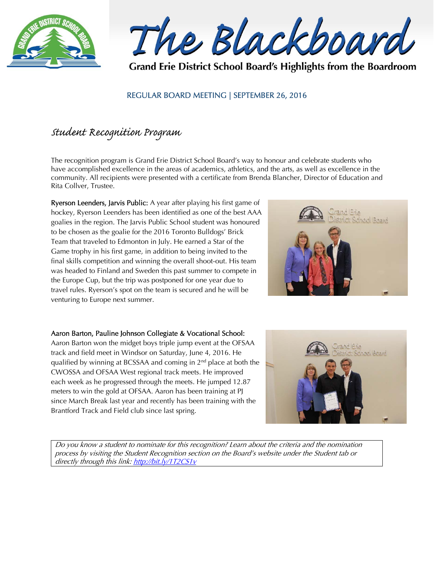

The Blackboard

Grand Erie District School Board's Highlights from the Boardroom

### REGULAR BOARD MEETING | SEPTEMBER 26, 2016

## Student Recognition Program

The recognition program is Grand Erie District School Board's way to honour and celebrate students who have accomplished excellence in the areas of academics, athletics, and the arts, as well as excellence in the community. All recipients were presented with a certificate from Brenda Blancher, Director of Education and Rita Collver, Trustee.

Ryerson Leenders, Jarvis Public: A year after playing his first game of hockey, Ryerson Leenders has been identified as one of the best AAA goalies in the region. The Jarvis Public School student was honoured to be chosen as the goalie for the 2016 Toronto Bulldogs' Brick Team that traveled to Edmonton in July. He earned a Star of the Game trophy in his first game, in addition to being invited to the final skills competition and winning the overall shoot-out. His team was headed to Finland and Sweden this past summer to compete in the Europe Cup, but the trip was postponed for one year due to travel rules. Ryerson's spot on the team is secured and he will be venturing to Europe next summer.



#### Aaron Barton, Pauline Johnson Collegiate & Vocational School:

Aaron Barton won the midget boys triple jump event at the OFSAA track and field meet in Windsor on Saturday, June 4, 2016. He qualified by winning at BCSSAA and coming in 2nd place at both the CWOSSA and OFSAA West regional track meets. He improved each week as he progressed through the meets. He jumped 12.87 meters to win the gold at OFSAA. Aaron has been training at PJ since March Break last year and recently has been training with the Brantford Track and Field club since last spring.



Do you know a student to nominate for this recognition? Learn about the criteria and the nomination process by visiting the Student Recognition section on the Board's website under the Student tab or directly through this link: http://bit.ly/1T2CS1v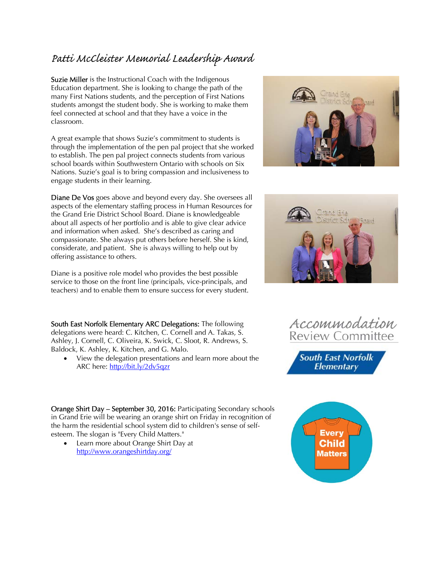# Patti McCleister Memorial Leadership Award

Suzie Miller is the Instructional Coach with the Indigenous Education department. She is looking to change the path of the many First Nations students, and the perception of First Nations students amongst the student body. She is working to make them feel connected at school and that they have a voice in the classroom.

A great example that shows Suzie's commitment to students is through the implementation of the pen pal project that she worked to establish. The pen pal project connects students from various school boards within Southwestern Ontario with schools on Six Nations. Suzie's goal is to bring compassion and inclusiveness to engage students in their learning.

Diane De Vos goes above and beyond every day. She oversees all aspects of the elementary staffing process in Human Resources for the Grand Erie District School Board. Diane is knowledgeable about all aspects of her portfolio and is able to give clear advice and information when asked. She's described as caring and compassionate. She always put others before herself. She is kind, considerate, and patient. She is always willing to help out by offering assistance to others.

Diane is a positive role model who provides the best possible service to those on the front line (principals, vice-principals, and teachers) and to enable them to ensure success for every student.

South East Norfolk Elementary ARC Delegations: The following delegations were heard: C. Kitchen, C. Cornell and A. Takas, S. Ashley, J. Cornell, C. Oliveira, K. Swick, C. Sloot, R. Andrews, S. Baldock, K. Ashley, K. Kitchen, and G. Malo.

 View the delegation presentations and learn more about the ARC here: http://bit.ly/2dv5qzr

Orange Shirt Day – September 30, 2016: Participating Secondary schools in Grand Erie will be wearing an orange shirt on Friday in recognition of the harm the residential school system did to children's sense of selfesteem. The slogan is "Every Child Matters."

 Learn more about Orange Shirt Day at http://www.orangeshirtday.org/







**South East Norfolk Elementary**